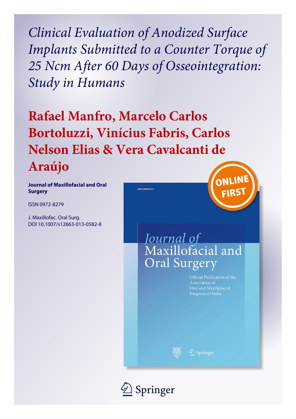*Clinical Evaluation of Anodized Surface Implants Submitted to a Counter Torque of 25 Ncm After 60 Days of Osseointegration: Study in Humans*

**Rafael Manfro, Marcelo Carlos Bortoluzzi, Vinícius Fabris, Carlos Nelson Elias & Vera Cavalcanti de Araújo**

.<br>2663 | ISSN 0972-827

**Journal of Maxillofacial and Oral Surgery**

ISSN 0972-8279

J. Maxillofac. Oral Surg. DOI 10.1007/s12663-013-0582-8



# Journal of Maxillofacial and **Oral Surgery**

Official Publication of the Association of Oral and Maxillofacial Surgeons of India

 $\bigcircled{2}$  Springer

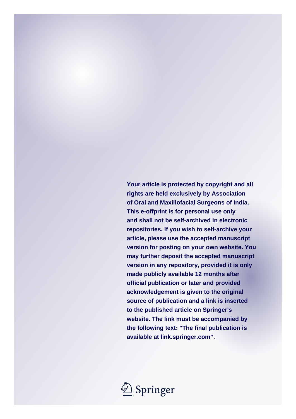**Your article is protected by copyright and all rights are held exclusively by Association of Oral and Maxillofacial Surgeons of India. This e-offprint is for personal use only and shall not be self-archived in electronic repositories. If you wish to self-archive your article, please use the accepted manuscript version for posting on your own website. You may further deposit the accepted manuscript version in any repository, provided it is only made publicly available 12 months after official publication or later and provided acknowledgement is given to the original source of publication and a link is inserted to the published article on Springer's website. The link must be accompanied by the following text: "The final publication is available at link.springer.com".**

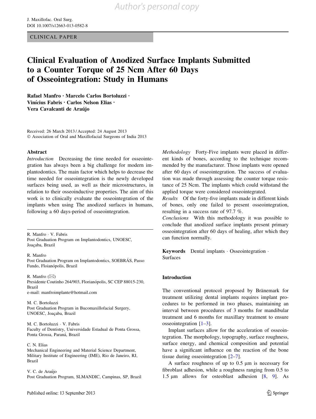CLINICAL PAPER

### Clinical Evaluation of Anodized Surface Implants Submitted to a Counter Torque of 25 Ncm After 60 Days of Osseointegration: Study in Humans

Rafael Manfro • Marcelo Carlos Bortoluzzi • Vinícius Fabris • Carlos Nelson Elias • Vera Cavalcanti de Araújo

Received: 26 March 2013 / Accepted: 24 August 2013 © Association of Oral and Maxillofacial Surgeons of India 2013

#### Abstract

Introduction Decreasing the time needed for osseointegration has always been a big challenge for modern implantodontics. The main factor which helps to decrease the time needed for osseointegration is the newly developed surfaces being used, as well as their microstructures, in relation to their osseoinductive properties. The aim of this work is to clinically evaluate the osseointegration of the implants when using The anodized surfaces in humans, following a 60 days-period of osseointegration.

R. Manfro - V. Fabris Post Graduation Program on Implantodontics, UNOESC, Joaçaba, Brazil

R. Manfro Post Graduation Program on Implantodontics, SOEBRÁS, Passo Fundo, Floianópolis, Brazil

R. Manfro  $(\boxtimes)$ Presidente Coutinho 264/903, Florianópolis, SC CEP 88015-230, Brazil e-mail: manfroimplante@hotmail.com

M. C. Bortoluzzi Post Graduation Program in Bucomaxillofacial Surgery, UNOESC, Joaçaba, Brazil

M. C. Bortoluzzi - V. Fabris Faculty of Dentistry, Universidade Estadual de Ponta Grossa, Ponta Grossa, Paraná, Brazil

C. N. Elias Mechanical Engineering and Material Science Department, Military Institute of Engineering (IME), Rio de Janeiro, RJ, Brazil

V. C. de Araújo Post Graduation Program, SLMANDIC, Campinas, SP, Brazil Methodology Forty-Five implants were placed in different kinds of bones, according to the technique recommended by the manufacturer. Those implants were opened after 60 days of osseointegration. The success of evaluation was made through assessing the counter torque resistance of 25 Ncm. The implants which could withstand the applied torque were considered osseointegrated.

Results Of the forty-five implants made in different kinds of bones, only one failed to present osseointegration, resulting in a success rate of 97.7 %.

Conclusions With this methodology it was possible to conclude that anodized surface implants present primary osseointegration after 60 days of healing, after which they can function normally.

Keywords Dental implants - Osseointegration - Surfaces

#### Introduction

The conventional protocol proposed by Bränemark for treatment utilizing dental implants requires implant procedures to be performed in two phases, maintaining an interval between procedures of 3 months for mandibular treatment and 6 months for maxillary treatment to ensure osseointegration  $[1-3]$ .

Implant surfaces allow for the acceleration of osseointegration. The morphology, topography, surface roughness, surface energy, and chemical composition and potential have a significant influence on the reaction of the bone tissue during osseointegration [[2–7\]](#page-6-0).

A surface roughness of up to  $0.5 \mu m$  is necessary for fibroblast adhesion, while a roughness ranging from 0.5 to 1.5  $\mu$ m allows for osteoblast adhesion [[8,](#page-6-0) [9](#page-6-0)]. As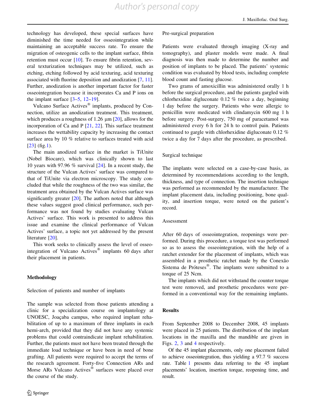technology has developed, these special surfaces have diminished the time needed for osseointegration while maintaining an acceptable success rate. To ensure the migration of osteogenic cells to the implant surface, fibrin retention must occur [\[10](#page-6-0)]. To ensure fibrin retention, several texturization techniques may be utilized, such as etching, etching followed by acid texturing, acid texturing associated with fluorine deposition and anodization [\[7](#page-6-0), [11](#page-6-0)]. Further, anodization is another important factor for faster osseointegration because it incorporates Ca and P ions on the implant surface  $[3-5, 12-19]$  $[3-5, 12-19]$ .

Vulcano Surface Actives<sup>®</sup> implants, produced by Connection, utilize an anodization treatment. This treatment, which produces a roughness of 1.26  $\mu$ m [\[20](#page-7-0)], allows for the incorporation of Ca and P  $[21, 22]$  $[21, 22]$  $[21, 22]$  $[21, 22]$  $[21, 22]$ . This surface treatment increases the wettability capacity by increasing the contact surface area by 10 % relative to surfaces treated with acid  $[23]$  $[23]$  (fig[.1](#page-4-0)).

The main anodized surface in the market is TiUnite (Nobel Biocare), which was clinically shown to last 10 years with 97.96 % survival [[24\]](#page-7-0). In a recent study, the structure of the Vulcan Actives' surface was compared to that of TiUnite via electron microscopy. The study concluded that while the roughness of the two was similar, the treatment area obtained by the Vulcan Actives surface was significantly greater [[20\]](#page-7-0). The authors noted that although these values suggest good clinical performance, such performance was not found by studies evaluating Vulcan Actives' surface. This work is presented to address this issue and examine the clinical performance of Vulcan Actives' surface, a topic not yet addressed by the present literature [[20\]](#page-7-0).

This work seeks to clinically assess the level of osseointegration of Vulcano Actives® implants 60 days after their placement in patients.

#### Methodology

Selection of patients and number of implants

The sample was selected from those patients attending a clinic for a specialization course on implantology at UNOESC, Joaçaba campus, who required implant rehabilitation of up to a maximum of three implants in each hemi-arch, provided that they did not have any systemic problems that could contraindicate implant rehabilitation. Further, the patients must not have been treated through the immediate load technique or have been in need of bone grafting. All patients were required to accept the terms of the research agreement. Forty-five Connection ARs and Morse ARs Vulcano Actives<sup>®</sup> surfaces were placed over the course of the study.

#### Pre-surgical preparation

Patients were evaluated through imaging (X-ray and tomography), and plaster models were made. A final diagnosis was then made to determine the number and position of implants to be placed. The patients' systemic condition was evaluated by blood tests, including complete blood count and fasting glucose.

Two grams of amoxicillin was administered orally 1 h before the surgical procedure, and the patients gargled with chlorhexidine digluconate 0.12 % twice a day, beginning 1 day before the surgery. Patients who were allergic to penicillin were medicated with clindamycin 600 mg 1 h before surgery. Post-surgery, 750 mg of paracetamol was administered every 6 h for 24 h to control pain. Patients continued to gargle with chlorhexidine digluconate 0.12 % twice a day for 7 days after the procedure, as prescribed.

#### Surgical technique

The implants were selected on a case-by-case basis, as determined by recommendations according to the length, thickness, and type of connection. The insertion technique was performed as recommended by the manufacturer. The implant placement data, including positioning, bone quality, and insertion torque, were noted on the patient's record.

#### Assessment

After 60 days of osseointegration, reopenings were performed. During this procedure, a torque test was performed so as to assess the osseointegration, with the help of a ratchet extender for the placement of implants, which was assembled in a prosthetic ratchet made by the Conexão Sistema de Próteses $^{\circledR}$ . The implants were submitted to a torque of 25 Ncm.

The implants which did not withstand the counter torque test were removed, and prosthetic procedures were performed in a conventional way for the remaining implants.

#### Results

From September 2008 to December 2008, 45 implants were placed in 25 patients. The distribution of the implant locations in the maxilla and the mandible are given in Figs. [2](#page-4-0), [3](#page-4-0) and [4](#page-6-0) respectively.

Of the 45 implant placements, only one placement failed to achieve osseointegration, thus yielding a 97.7 % success rate. Table [1](#page-5-0) presents data referring to the 45 implant placements' location, insertion torque, reopening time, and result.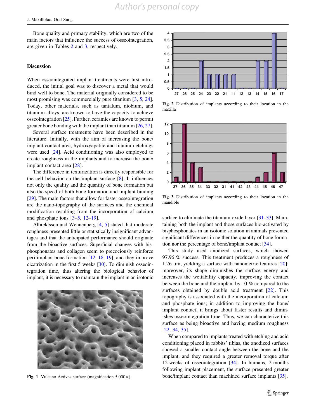<span id="page-4-0"></span>Bone quality and primary stability, which are two of the main factors that influence the success of osseointegration, are given in Tables [2](#page-6-0) and [3](#page-6-0), respectively.

#### Discussion

When osseointegrated implant treatments were first introduced, the initial goal was to discover a metal that would bind well to bone. The material originally considered to be most promising was commercially pure titanium [[3,](#page-6-0) [5](#page-6-0), [24](#page-7-0)]. Today, other materials, such as tantalum, niobium, and titanium alloys, are known to have the capacity to achieve osseointegration [[25\]](#page-7-0). Further, ceramics are known to permit greater bone bonding with the implant than titanium [\[26](#page-7-0), [27](#page-7-0)].

Several surface treatments have been described in the literature. Initially, with the aim of increasing the bone/ implant contact area, hydroxyapatite and titanium etchings were used [\[24](#page-7-0)]. Acid conditioning was also employed to create roughness in the implants and to increase the bone/ implant contact area [[28\]](#page-7-0).

The difference in texturization is directly responsible for the cell behavior on the implant surface [\[8](#page-6-0)]. It influences not only the quality and the quantity of bone formation but also the speed of both bone formation and implant binding [\[29](#page-7-0)]. The main factors that allow for faster osseointegration are the nano-topography of the surfaces and the chemical modification resulting from the incorporation of calcium and phosphate ions  $[3-5, 12-19]$  $[3-5, 12-19]$ .

Albrektsson and Wennenberg [[4,](#page-6-0) [5](#page-6-0)] stated that moderate roughness presented little or statistically insignificant advantages and that the anticipated performance should originate from the bioactive surfaces. Superficial changes with bisphosphonates and collagen seem to precociously reinforce peri-implant bone formation [[12,](#page-6-0) [18,](#page-7-0) [19](#page-7-0)], and they improve cicatrization in the first 5 weeks [\[30\]](#page-7-0). To diminish osseointegration time, thus altering the biological behavior of implant, it is necessary to maintain the implant in an isotonic





Fig. 2 Distribution of implants according to their location in the maxilla



Fig. 3 Distribution of implants according to their location in the mandible

surface to eliminate the titanium oxide layer [\[31–33\]](#page-7-0). Maintaining both the implant and those surfaces bio-activated by bisphosphonates in an isotonic solution in animals presented significant differences in neither the quantity of bone formation nor the percentage of bone/implant contact [[34](#page-7-0)].

This study used anodized surfaces, which showed 97.96 % success. This treatment produces a roughness of 1.26 um, vielding a surface with nanometric features  $[20]$  $[20]$ ; moreover, its shape diminishes the surface energy and increases the wettability capacity, improving the contact between the bone and the implant by 10 % compared to the surfaces obtained by double acid treatment [[22\]](#page-7-0). This topography is associated with the incorporation of calcium and phosphate ions; in addition to improving the bone/ implant contact, it brings about faster results and diminishes osseointegration time. Thus, we can characterize this surface as being bioactive and having medium roughness [\[22](#page-7-0), [34](#page-7-0), [35](#page-7-0)].

When compared to implants treated with etching and acid conditioning placed in rabbits' tibias, the anodized surfaces showed a smaller contact angle between the bone and the implant, and they required a greater removal torque after 12 weeks of osseointegration [\[34\]](#page-7-0). In humans, 2 months following implant placement, the surface presented greater Fig. 1 Vulcano Actives surface (magnification  $5.000 \times$ ) bone/implant contact than machined surface implants [\[35](#page-7-0)].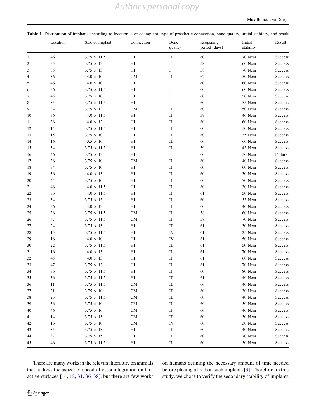## *Author's personal copy*

<span id="page-5-0"></span>

|  |  |  |  |  |  |  |  | Table 1 Distribution of implants according to location, size of implant, type of prosthetic connection, bone quality, initial stability, and result |
|--|--|--|--|--|--|--|--|-----------------------------------------------------------------------------------------------------------------------------------------------------|
|--|--|--|--|--|--|--|--|-----------------------------------------------------------------------------------------------------------------------------------------------------|

|                | Location | Size of implant    | Connection                 | Bone<br>quality | Reopening<br>period (days) | Initial<br>stability | Result         |
|----------------|----------|--------------------|----------------------------|-----------------|----------------------------|----------------------|----------------|
| $\mathbf{1}$   | 46       | $3.75 \times 11.5$ | HI                         | $\rm II$        | 60                         | 70 Ncm               | <b>Success</b> |
| $\overline{2}$ | 35       | $3.75 \times 13$   | H <sub>I</sub>             | I               | 58                         | 60 Ncm               | <b>Success</b> |
| 3              | 35       | $3.75 \times 13$   | H <sub>I</sub>             | I               | 58                         | 70 Ncm               | <b>Success</b> |
| 4              | 36       | $4.0 \times 10$    | <b>CM</b>                  | П               | 62                         | 50 Ncm               | <b>Success</b> |
| 5              | 46       | $4.0 \times 10$    | HI                         | I               | 60                         | 60 Ncm               | <b>Success</b> |
| 6              | 36       | $3.75 \times 11.5$ | H <sub>I</sub>             | I               | 60                         | 60 Ncm               | Success        |
| 7              | 45       | $3.75 \times 10$   | H <sub>I</sub>             | I               | 60                         | 50 Ncm               | Success        |
| 8              | 35       | $3.75 \times 11.5$ | H <sub>I</sub>             | I               | 60                         | 55 Ncm               | <b>Success</b> |
| 9              | 24       | $3.75 \times 13$   | <b>CM</b>                  | Ш               | 60                         | 50 Ncm               | <b>Success</b> |
| 10             | 36       | $4.0 \times 11.5$  | HI                         | П               | 59                         | 40 Ncm               | <b>Success</b> |
| 11             | 36       | $4.0 \times 13$    | H <sub>I</sub>             | П               | 60                         | 60 Ncm               | <b>Success</b> |
| 12             | 14       | $3.75 \times 11.5$ | H <sub>I</sub>             | Ш               | 60                         | 50 Ncm               | <b>Success</b> |
| 13             | 15       | $3.75 \times 10$   | H <sub>I</sub>             | Ш               | 60                         | 35 Ncm               | <b>Success</b> |
| 14             | 16       | $3.5 \times 10$    | H <sub>I</sub>             | Ш               | 60                         | 60 Ncm               | <b>Success</b> |
| 15             | 34       | $3.75 \times 11.5$ | H <sub>I</sub>             | П               | 59                         | 45 Ncm               | <b>Success</b> |
| 16             | 46       | $3.75 \times 13$   | H <sub>I</sub>             | Ι               | 60                         | 50 Ncm               | Failure        |
| 17             | 36       | $3.75 \times 10$   | CM                         | П               | 60                         | 40 Ncm               | <b>Success</b> |
| 18             | 34       | $3.75 \times 10$   | HI                         | П               | 60                         | 60 Ncm               | <b>Success</b> |
| 19             | 36       | $4.0 \times 13$    | H <sub>I</sub>             | П               | 60                         | 30 Ncm               | <b>Success</b> |
| 20             | 44       | $3.75\,\times\,10$ | HI                         | $\rm II$        | 60                         | 70 Ncm               | <b>Success</b> |
| 21             | 46       | $4.0 \times 11.5$  | HI                         | $\rm II$        | 60                         | 30 Ncm               | <b>Success</b> |
| 22             | 36       | $4.0 \times 11.5$  | H <sub>I</sub>             | П               | 61                         | 50 Ncm               | <b>Success</b> |
| 23             | 34       | $3.75 \times 15$   | H                          | П               | 60                         | 55 Ncm               | <b>Success</b> |
| 24             | 36       | $4.0 \times 13$    | H                          | П               | 60                         | 40 Ncm               | <b>Success</b> |
| 25             | 36       | $3.75 \times 11.5$ | CM                         | П               | 58                         | 60 Ncm               | <b>Success</b> |
| 26             | 47       | $3.75 \times 11.5$ | CM                         | П               | 58                         | 70 Ncm               | <b>Success</b> |
| 27             | 24       | $3.75 \times 13$   | H <sub>I</sub>             | Ш               | 61                         | 30 Ncm               | <b>Success</b> |
| 28             | 15       | $3.75 \times 11.5$ | H <sub>I</sub>             | IV              | 61                         | 25 Ncm               | <b>Success</b> |
| 29             | 16       | $4.0 \times 10$    | HI                         | IV              | 61                         | 50 Ncm               | <b>Success</b> |
| 30             | 22       | $3.75 \times 11.5$ | HI                         | Ш               | 61                         | 50 Ncm               | <b>Success</b> |
| 31             | 16       | $4.0 \times 13$    | H <sub>I</sub>             | П               | 61                         | 70 Ncm               | <b>Success</b> |
| 32             | 45       | $4.0 \times 13$    | H <sub>I</sub>             | $\rm II$        | 61                         | 60 Ncm               | <b>Success</b> |
| 33             | 47       | $3.75 \times 13$   | H <sub>I</sub>             | $\rm II$        | 61                         | 70 Ncm               | <b>Success</b> |
| 34             | 36       | $3.75 \times 11.5$ | H <sub>I</sub>             | П               | 60                         | 80 Ncm               | <b>Success</b> |
| 35             | 36       | $3.75 \times 11.5$ | $\rm HI$                   | $\rm III$       | 61                         | 40 Ncm               | Success        |
| 36             | 11       | $3.75 \times 11.5$ | CM                         | Ш               | 60                         | 40 Ncm               | Success        |
| 37             | 21       | $3.75\,\times\,10$ | ${\rm CM}$                 | $\rm III$       | 60                         | 30 Ncm               | Success        |
| 38             | 23       | $3.75 \times 11.5$ | CM                         | $\rm III$       | 60                         | 40 Ncm               | Success        |
| 39             | 36       | $3.75 \times 10$   | CM                         | $\rm II$        | 60                         | 50 Ncm               | <b>Success</b> |
| 40             | 46       | $3.75 \times 10$   | CM                         | П               | 60                         | 40 Ncm               | Success        |
| 41             | 14       | $3.75 \times 13$   | CM                         | Ш               | 60                         | 50 Ncm               | Success        |
| 42             | 16       | $3.75 \times 10$   | CM                         | IV              | 60                         | 30 Ncm               | Success        |
| 43             | 35       | $3.75 \times 13$   | HI                         | Ш               | 60                         | 40 Ncm               | Success        |
| 44             | 37       | $3.75 \times 15$   | $\mathop{\rm HI}\nolimits$ | $\rm II$        | 60                         | 70 Ncm               | Success        |
| 45             | 46       | $3.75 \times 11.5$ | $\mathop{\rm HI}\nolimits$ | $\rm II$        | 60                         | $50\ \mathrm{Ncm}$   | Success        |

There are many works in the relevant literature on animals that address the aspect of speed of osseointegration on bioactive surfaces [\[14](#page-6-0), [18](#page-7-0), [31](#page-7-0), [36–38](#page-7-0)], but there are few works on humans defining the necessary amount of time needed before placing a load on such implants [\[3](#page-6-0)]. Therefore, in this study, we chose to verify the secondary stability of implants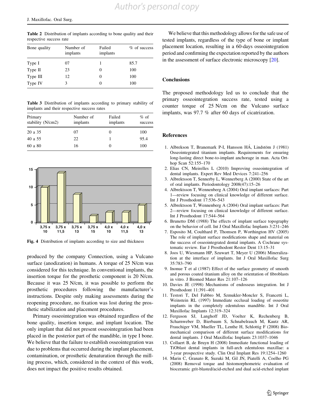<span id="page-6-0"></span>Table 2 Distribution of implants according to bone quality and their respective success rate

| Bone quality | Number of<br>implants | Failed<br>implants | % of success |
|--------------|-----------------------|--------------------|--------------|
| Type I       | 07                    |                    | 85.7         |
| Type II      | 23                    |                    | 100          |
| Type III     | 12                    |                    | 100          |
| Type IV      | 3                     |                    | 100          |

Table 3 Distribution of implants according to primary stability of implants and their respective success rates

| Primary<br>stability (N/cm2) | Number of<br>implants | Failed<br>implants | $%$ of<br>success |
|------------------------------|-----------------------|--------------------|-------------------|
| 20 a 35                      | 07                    |                    | 100               |
| 40 a 55                      | 22                    |                    | 95.4              |
| 60 a 80                      | 16                    |                    | 100               |



Fig. 4 Distribution of implants according to size and thickness

produced by the company Connection, using a Vulcano surface (anodization) in humans. A torque of 25 N/cm was considered for this technique. In conventional implants, the insertion torque for the prosthetic component is 20 N/cm. Because it was 25 N/cm, it was possible to perform the prosthetic procedures following the manufacturer's instructions. Despite only making assessments during the reopening procedure, no fixation was lost during the prosthetic stabilization and placement procedures.

Primary osseointegration was obtained regardless of the bone quality, insertion torque, and implant location. The only implant that did not present osseointegration had been placed in the posterior part of the mandible, in type I bone. We believe that the failure to establish osseointegration was due to problems that occurred during the implant placement, contamination, or prosthetic denaturation through the milling process, which, considered in the context of this work, does not impact the positive results obtained.

We believe that this methodology allows for the safe use of tested implants, regardless of the type of bone or implant placement location, resulting in a 60-days osseointegration period and confirming the expectation reported by the authors in the assessment of surface electronic microscopy [\[20](#page-7-0)].

#### **Conclusions**

The proposed methodology led us to conclude that the primary osseointegration success rate, tested using a counter torque of 25 N/cm on the Vulcano surface implants, was 97.7 % after 60 days of cicatrization.

#### References

- 1. Albrekson T, Branemark P-I, Hansson HÁ, Lindstöm J (1981) Osseointegrated titanium implants. Requirements for ensuring long-lasting direct bone-to-implant anchorage in man. Acta Orthop Scan 52:155–170
- 2. Elias CN, Meirelles L (2010) Improving osseointegration of dental implants. Expert Rev Med Devices 7:241–256
- 3. Albrektsson T, Sennerby L, Wennerberg A (2000) State of the art of oral implants. Periodontology 2008(47):15–26
- 4. Albrektsson T, Wennenberg A (2004) Oral implant surfaces: Part 1—review focusing on clinical knowledge of different surface. Int J Prosthodont 17:536–543
- 5. Albrektsson T, Wennenberg A (2004) Oral implant surfaces: Part 2—review focusing on clinical knowledge of different surface. Int J Prosthodont 17:544–564
- 6. Brunetto DM (1988) The effects of implant surface topography on the behavior of cell. Int J Oral Maxillofac Implants 3:231–246
- 7. Esposito M, Coulthard P, Thomsen P, Worthington HV (2005) The role of implant surface modifications shape and material on the success of osseointegrated dental implants. A Cochrane systematic review. Eur J Prosthodont Restor Dent 13:15–31
- 8. Joos U, Wiesmann HP, Szuwart T, Meyer U (2006) Mineralization at the interface of implants. Int J Oral Maxillofac Surg 35:783–790
- 9. Inonue T et al (1987) Effect of the surface geometry of smooth and porous coated titanium alloy on the orientation of fibroblasts in vitro. J Biomed Mater Res 21:107–126
- 10. Davies JE (1998) Mechanisms of endosseus integration. Int J Prosthodont 11:391–401
- 11. Testori T, Del Fabbro M, Szmukler-Moncler S, Francetti L, Weinstein RL (1997) Immediate occlusal loading of osseotite implants in the completely edentulous mandible. Int J Oral Maxillofac Implants 12:319–324
- 12. Ferguson SJ, Langhoff JD, Voelter K, Rechenberg B, Scharnweber D, Bierbaum S, Schnabelrauch M, Kautz AR, Frauchiger VM, Mueller TL, Lenthe H, Schlottig F (2008) Biomechanical comparison of different surface modifications for dental implants. J Oral Maxillofac Implants 23:1037–1046
- 13. Collaert B, de Bruyn H (2008) Immediate functional loading of TiOblast dental implants in full-arch edentulous maxillae: a 3-year prospective study. Clin Oral Implant Res 19:1254–1260
- 14. Marin C, Granato R, Suzuki M, Gil JN, Piatelli A, Coelho PG (2008) Removal torque and histomorphometric evaluation of bioceramic grit-blasted/acid-etched and dual acid-etched implant